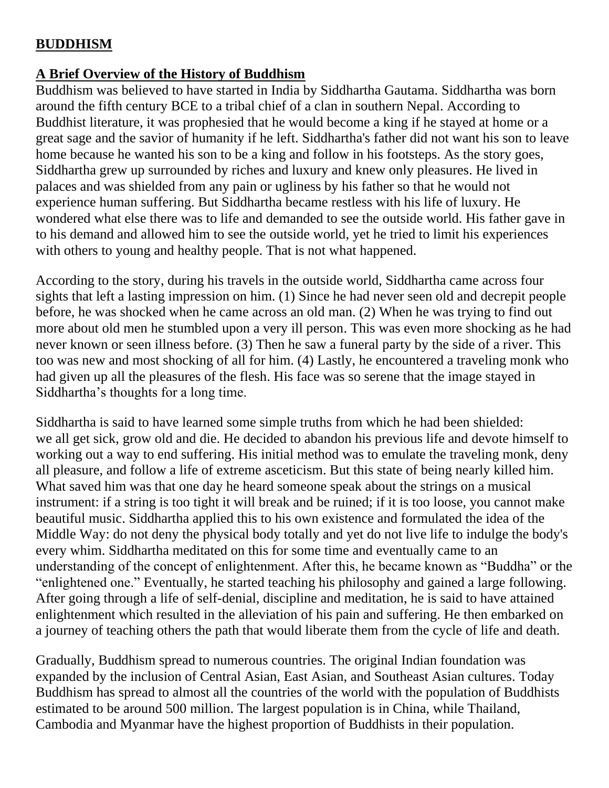### **BUDDHISM**

#### **A Brief Overview of the History of Buddhism**

Buddhism was believed to have started in India by Siddhartha Gautama. Siddhartha was born around the fifth century BCE to a tribal chief of a clan in southern Nepal. According to Buddhist literature, it was prophesied that he would become a king if he stayed at home or a great sage and the savior of humanity if he left. Siddhartha's father did not want his son to leave home because he wanted his son to be a king and follow in his footsteps. As the story goes, Siddhartha grew up surrounded by riches and luxury and knew only pleasures. He lived in palaces and was shielded from any pain or ugliness by his father so that he would not experience human suffering. But Siddhartha became restless with his life of luxury. He wondered what else there was to life and demanded to see the outside world. His father gave in to his demand and allowed him to see the outside world, yet he tried to limit his experiences with others to young and healthy people. That is not what happened.

According to the story, during his travels in the outside world, Siddhartha came across four sights that left a lasting impression on him. (1) Since he had never seen old and decrepit people before, he was shocked when he came across an old man. (2) When he was trying to find out more about old men he stumbled upon a very ill person. This was even more shocking as he had never known or seen illness before. (3) Then he saw a funeral party by the side of a river. This too was new and most shocking of all for him. (4) Lastly, he encountered a traveling monk who had given up all the pleasures of the flesh. His face was so serene that the image stayed in Siddhartha's thoughts for a long time.

Siddhartha is said to have learned some simple truths from which he had been shielded: we all get sick, grow old and die. He decided to abandon his previous life and devote himself to working out a way to end suffering. His initial method was to emulate the traveling monk, deny all pleasure, and follow a life of extreme asceticism. But this state of being nearly killed him. What saved him was that one day he heard someone speak about the strings on a musical instrument: if a string is too tight it will break and be ruined; if it is too loose, you cannot make beautiful music. Siddhartha applied this to his own existence and formulated the idea of the [Middle Way:](http://www.kuro5hin.org/story/2003/8/31/35824/4408#middle_way) do not deny the physical body totally and yet do not live life to indulge the body's every whim. Siddhartha meditated on this for some time and eventually came to an understanding of the concept of enlightenment. After this, he became known as "Buddha" or the "enlightened one." Eventually, he started teaching his philosophy and gained a large following. After going through a life of self-denial, discipline and meditation, he is said to have attained enlightenment which resulted in the alleviation of his pain and suffering. He then embarked on a journey of teaching others the path that would liberate them from the cycle of life and death.

Gradually, Buddhism spread to numerous countries. The original Indian foundation was expanded by the inclusion of Central Asian, East Asian, and Southeast Asian cultures. Today Buddhism has spread to almost all the countries of the world with the population of Buddhists estimated to be around 500 million. The largest population is in China, while Thailand, Cambodia and Myanmar have the highest proportion of Buddhists in their population.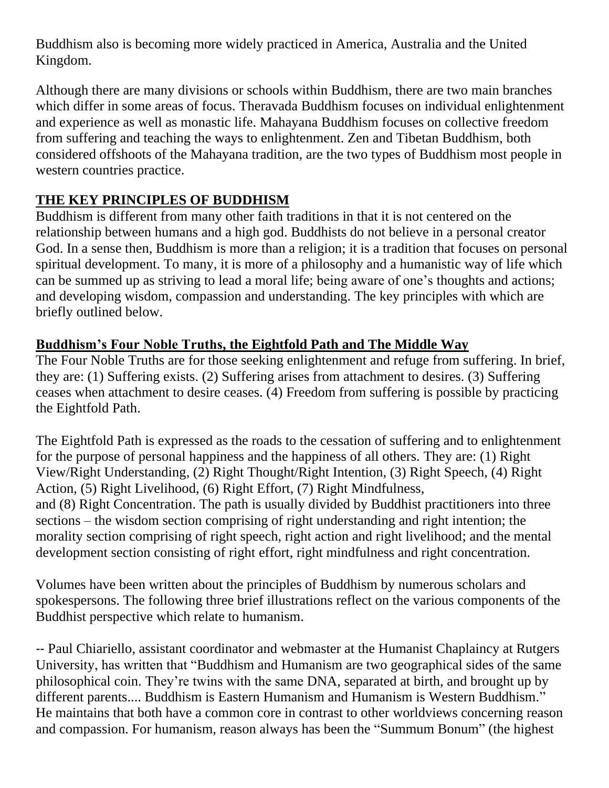Buddhism also is becoming more widely practiced in America, Australia and the United Kingdom.

Although there are many divisions or schools within Buddhism, there are two main branches which differ in some areas of focus. Theravada Buddhism focuses on individual enlightenment and experience as well as monastic life. Mahayana Buddhism focuses on collective freedom from suffering and teaching the ways to enlightenment. Zen and Tibetan Buddhism, both considered offshoots of the Mahayana tradition, are the two types of Buddhism most people in western countries practice.

# **THE KEY PRINCIPLES OF BUDDHISM**

Buddhism is different from many other faith traditions in that it is not centered on the relationship between humans and a high god. Buddhists do not believe in a personal creator God. In a sense then, Buddhism is more than a religion; it is a tradition that focuses on personal spiritual development. To many, it is more of a philosophy and a humanistic way of life which can be summed up as striving to lead a moral life; being aware of one's thoughts and actions; and developing wisdom, compassion and understanding. The key principles with which are briefly outlined below.

### **Buddhism's Four Noble Truths, the Eightfold Path and The Middle Way**

The Four Noble Truths are for those seeking enlightenment and refuge from suffering. In brief, they are: (1) Suffering exists. (2) Suffering arises from attachment to desires. (3) Suffering ceases when attachment to desire ceases. (4) Freedom from suffering is possible by practicing the Eightfold Path.

The Eightfold Path is expressed as the roads to the cessation of suffering and to enlightenment for the purpose of personal happiness and the happiness of all others. They are: (1) Right View/Right Understanding, (2) Right Thought/Right Intention, (3) Right Speech, (4) Right Action, (5) Right Livelihood, (6) Right Effort, (7) Right Mindfulness, and (8) Right Concentration. The path is usually divided by Buddhist practitioners into three sections – the wisdom section comprising of right understanding and right intention; the morality section comprising of right speech, right action and right livelihood; and the mental development section consisting of right effort, right mindfulness and right concentration.

Volumes have been written about the principles of Buddhism by numerous scholars and spokespersons. The following three brief illustrations reflect on the various components of the Buddhist perspective which relate to humanism.

-- [Paul Chiariello, a](http://appliedsentience.com/author/paulchiari/)ssistant coordinator and webmaster at the Humanist Chaplaincy at Rutgers University, has written that "Buddhism and Humanism are two geographical sides of the same philosophical coin. They're twins with the same DNA, separated at birth, and brought up by different parents.... Buddhism is Eastern Humanism and Humanism is Western Buddhism." He maintains that both have a common core in contrast to other worldviews concerning reason and compassion. For humanism, reason always has been the "Summum Bonum" (the highest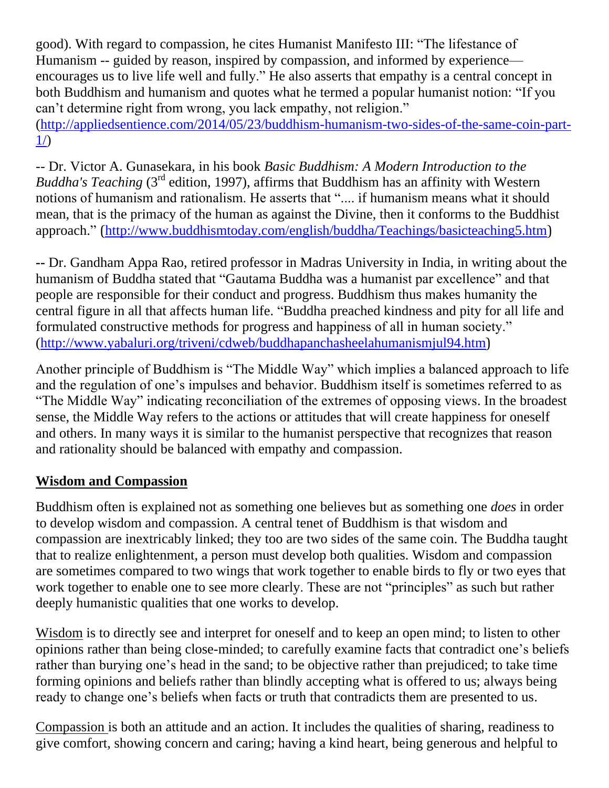good). With regard to compassion, he cites Humanist Manifesto III: "The lifestance of Humanism -- guided by reason, inspired by compassion, and informed by experience encourages us to live life well and fully." He also asserts that empathy is a central concept in both Buddhism and humanism and quotes what he termed a popular humanist notion: "If you can't determine right from wrong, you lack empathy, not religion."

[\(http://appliedsentience.com/2014/05/23/buddhism-humanism-two-sides-of-the-same-coin-part-](http://appliedsentience.com/2014/05/23/buddhism-humanism-two-sides-of-the-same-coin-part-1/) $1/$ 

-- Dr. Victor A. Gunasekara, in his book *Basic Buddhism: A Modern Introduction to the Buddha's Teaching* (3<sup>rd</sup> edition, 1997), affirms that Buddhism has an affinity with Western notions of humanism and rationalism. He asserts that ".... if humanism means what it should mean, that is the primacy of the human as against the Divine, then it conforms to the Buddhist approach." (<http://www.buddhismtoday.com/english/buddha/Teachings/basicteaching5.htm>)

**--** Dr. Gandham Appa Rao, retired professor in Madras University in India, in writing about the humanism of Buddha stated that "Gautama Buddha was a humanist par excellence" and that people are responsible for their conduct and progress. Buddhism thus makes humanity the central figure in all that affects human life. "Buddha preached kindness and pity for all life and formulated constructive methods for progress and happiness of all in human society." [\(http://www.yabaluri.org/triveni/cdweb/buddhapanchasheelahumanismjul94.htm](http://www.yabaluri.org/triveni/cdweb/buddhapanchasheelahumanismjul94.htm))

Another principle of Buddhism is "The Middle Way" which implies a balanced approach to life and the regulation of one's impulses and behavior. Buddhism itself is sometimes referred to as "The Middle Way" indicating reconciliation of the extremes of opposing views. In the broadest sense, the Middle Way refers to the actions or attitudes that will create happiness for oneself and others. In many ways it is similar to the humanist perspective that recognizes that reason and rationality should be balanced with empathy and compassion.

#### **Wisdom and Compassion**

Buddhism often is explained not as something one believes but as something one *does* in order to develop wisdom and compassion. A central tenet of Buddhism is that wisdom and compassion are inextricably linked; they too are two sides of the same coin. The Buddha taught that to realize enlightenment, a person must develop both qualities. Wisdom and compassion are sometimes compared to two wings that work together to enable birds to fly or two eyes that work together to enable one to see more clearly. These are not "principles" as such but rather deeply humanistic qualities that one works to develop.

Wisdom is to directly see and interpret for oneself and to keep an open mind; to listen to other opinions rather than being close-minded; to carefully examine facts that contradict one's beliefs rather than burying one's head in the sand; to be objective rather than prejudiced; to take time forming opinions and beliefs rather than blindly accepting what is offered to us; always being ready to change one's beliefs when facts or truth that contradicts them are presented to us.

Compassion is both an attitude and an action. It includes the qualities of sharing, readiness to give comfort, showing concern and caring; having a kind heart, being generous and helpful to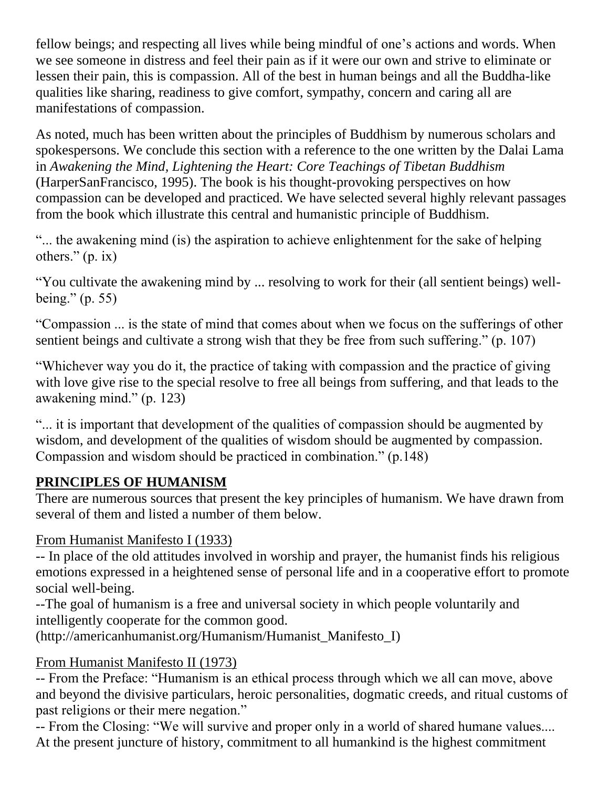fellow beings; and respecting all lives while being mindful of one's actions and words. When we see someone in distress and feel their pain as if it were our own and strive to eliminate or lessen their pain, this is compassion. All of the best in human beings and all the Buddha-like qualities like sharing, readiness to give comfort, sympathy, concern and caring all are manifestations of compassion.

As noted, much has been written about the principles of Buddhism by numerous scholars and spokespersons. We conclude this section with a reference to the one written by the Dalai Lama in *Awakening the Mind, Lightening the Heart: Core Teachings of Tibetan Buddhism*  (HarperSanFrancisco, 1995). The book is his thought-provoking perspectives on how compassion can be developed and practiced. We have selected several highly relevant passages from the book which illustrate this central and humanistic principle of Buddhism.

―... the awakening mind (is) the aspiration to achieve enlightenment for the sake of helping others."  $(p. ix)$ 

―You cultivate the awakening mind by ... resolving to work for their (all sentient beings) wellbeing."  $(p. 55)$ 

―Compassion ... is the state of mind that comes about when we focus on the sufferings of other sentient beings and cultivate a strong wish that they be free from such suffering." (p. 107)

―Whichever way you do it, the practice of taking with compassion and the practice of giving with love give rise to the special resolve to free all beings from suffering, and that leads to the awakening mind." (p. 123)

―... it is important that development of the qualities of compassion should be augmented by wisdom, and development of the qualities of wisdom should be augmented by compassion. Compassion and wisdom should be practiced in combination."  $(p.148)$ 

# **PRINCIPLES OF HUMANISM**

There are numerous sources that present the key principles of humanism. We have drawn from several of them and listed a number of them below.

# From Humanist Manifesto I (1933)

-- In place of the old attitudes involved in worship and prayer, the humanist finds his religious emotions expressed in a heightened sense of personal life and in a cooperative effort to promote social well-being.

--The goal of humanism is a free and universal society in which people voluntarily and intelligently cooperate for the common good.

(http://americanhumanist.org/Humanism/Humanist\_Manifesto\_I)

# From Humanist Manifesto II (1973)

-- From the Preface: "Humanism is an ethical process through which we all can move, above and beyond the divisive particulars, heroic personalities, dogmatic creeds, and ritual customs of past religions or their mere negation."

-- From the Closing: "We will survive and proper only in a world of shared humane values.... At the present juncture of history, commitment to all humankind is the highest commitment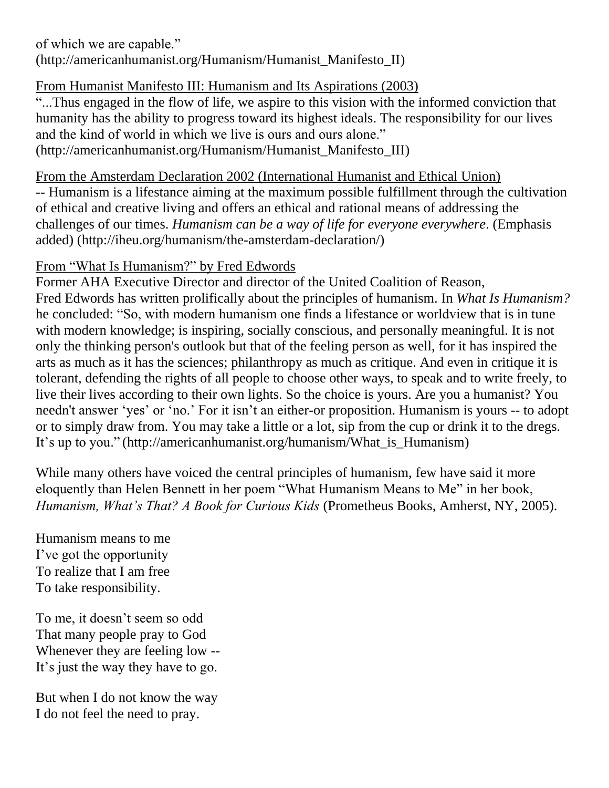of which we are capable." (http://americanhumanist.org/Humanism/Humanist\_Manifesto\_II)

### From Humanist Manifesto III: Humanism and Its Aspirations (2003)

―...Thus engaged in the flow of life, we aspire to this vision with the informed conviction that humanity has the ability to progress toward its highest ideals. The responsibility for our lives and the kind of world in which we live is ours and ours alone." (http://americanhumanist.org/Humanism/Humanist\_Manifesto\_III)

#### From the Amsterdam Declaration 2002 (International Humanist and Ethical Union)

-- Humanism is a lifestance aiming at the maximum possible fulfillment through the cultivation of ethical and creative living and offers an ethical and rational means of addressing the challenges of our times. *Humanism can be a way of life for everyone everywhere*. (Emphasis added) (http://iheu.org/humanism/the-amsterdam-declaration/)

# From "What Is Humanism?" by Fred Edwords

Former AHA Executive Director and director of the United Coalition of Reason, Fred Edwords has written prolifically about the principles of humanism. In *What Is Humanism?* he concluded: "So, with modern humanism one finds a lifestance or worldview that is in tune with modern knowledge; is inspiring, socially conscious, and personally meaningful. It is not only the thinking person's outlook but that of the feeling person as well, for it has inspired the arts as much as it has the sciences; philanthropy as much as critique. And even in critique it is tolerant, defending the rights of all people to choose other ways, to speak and to write freely, to live their lives according to their own lights. So the choice is yours. Are you a humanist? You needn't answer 'yes' or 'no.' For it isn't an either-or proposition. Humanism is yours -- to adopt or to simply draw from. You may take a little or a lot, sip from the cup or drink it to the dregs. It's up to you." (http://americanhumanist.org/humanism/What\_is\_Humanism)

While many others have voiced the central principles of humanism, few have said it more eloquently than Helen Bennett in her poem "What Humanism Means to Me" in her book, *Humanism, What's That? A Book for Curious Kids* (Prometheus Books, Amherst, NY, 2005).

Humanism means to me I've got the opportunity To realize that I am free To take responsibility.

To me, it doesn't seem so odd That many people pray to God Whenever they are feeling low -- It's just the way they have to go.

But when I do not know the way I do not feel the need to pray.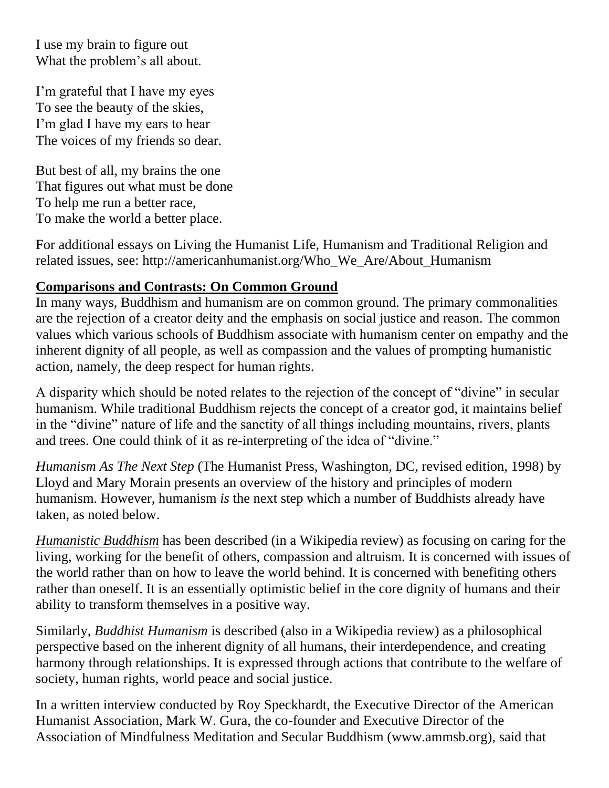I use my brain to figure out What the problem's all about.

I'm grateful that I have my eyes To see the beauty of the skies, I'm glad I have my ears to hear The voices of my friends so dear.

But best of all, my brains the one That figures out what must be done To help me run a better race, To make the world a better place.

For additional essays on Living the Humanist Life, Humanism and Traditional Religion and related issues, see: http://americanhumanist.org/Who\_We\_Are/About\_Humanism

### **Comparisons and Contrasts: On Common Ground**

In many ways, Buddhism and humanism are on common ground. The primary commonalities are the rejection of a creator deity and the emphasis on social justice and reason. The common values which various schools of Buddhism associate with humanism center on empathy and the inherent dignity of all people, as well as compassion and the values of prompting humanistic action, namely, the deep respect for human rights.

A disparity which should be noted relates to the rejection of the concept of "divine" in secular humanism. While traditional Buddhism rejects the concept of a creator god, it maintains belief in the "divine" nature of life and the sanctity of all things including mountains, rivers, plants and trees. One could think of it as re-interpreting of the idea of "divine."

*Humanism As The Next Step* (The Humanist Press, Washington, DC, revised edition, 1998) by Lloyd and Mary Morain presents an overview of the history and principles of modern humanism. However, humanism *is* the next step which a number of Buddhists already have taken, as noted below.

*Humanistic Buddhism* has been described (in a Wikipedia review) as focusing on caring for the living, working for the benefit of others, compassion and altruism. It is concerned with issues of the world rather than on how to leave the world behind. It is concerned with benefiting others rather than oneself. It is an essentially optimistic belief in the core dignity of humans and their ability to transform themselves in a positive way.

Similarly, *Buddhist Humanism* is described (also in a Wikipedia review) as a philosophical perspective based on the inherent dignity of all humans, their interdependence, and creating harmony through relationships. It is expressed through actions that contribute to the welfare of society, human rights, world peace and social justice.

In a written interview conducted by Roy Speckhardt, the Executive Director of the American Humanist Association, Mark W. Gura, the co-founder and Executive Director of the Association of Mindfulness Meditation and Secular Buddhism (www.ammsb.org), said that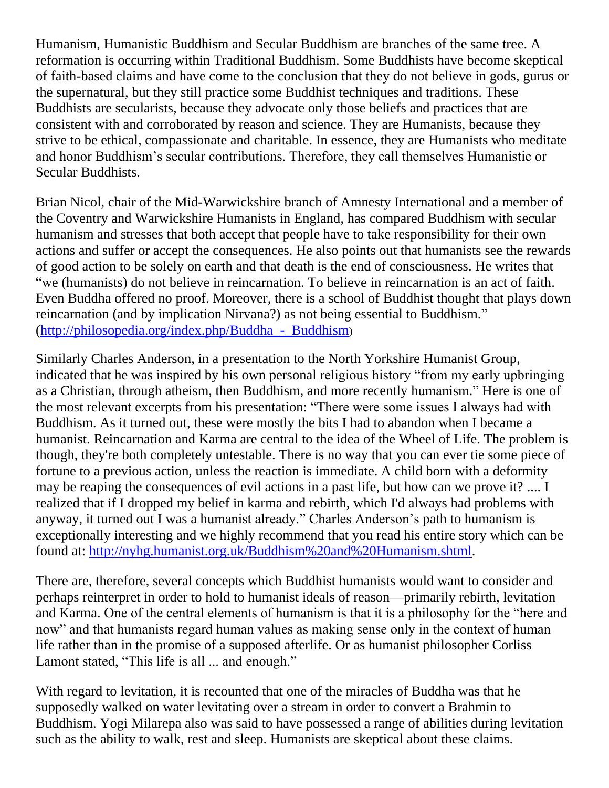Humanism, Humanistic Buddhism and Secular Buddhism are branches of the same tree. A reformation is occurring within Traditional Buddhism. Some Buddhists have become skeptical of faith-based claims and have come to the conclusion that they do not believe in gods, gurus or the supernatural, but they still practice some Buddhist techniques and traditions. These Buddhists are secularists, because they advocate only those beliefs and practices that are consistent with and corroborated by reason and science. They are Humanists, because they strive to be ethical, compassionate and charitable. In essence, they are Humanists who meditate and honor Buddhism's secular contributions. Therefore, they call themselves Humanistic or Secular Buddhists.

Brian Nicol, chair of the Mid-Warwickshire branch of Amnesty International and a member of the Coventry and Warwickshire Humanists in England, has compared Buddhism with secular humanism and stresses that both accept that people have to take responsibility for their own actions and suffer or accept the consequences. He also points out that humanists see the rewards of good action to be solely on earth and that death is the end of consciousness. He writes that "we (humanists) do not believe in reincarnation. To believe in reincarnation is an act of faith. Even Buddha offered no proof. Moreover, there is a school of Buddhist thought that plays down reincarnation (and by implication Nirvana?) as not being essential to Buddhism." [\(http://philosopedia.org/index.php/Buddha\\_-\\_Buddhism](http://philosopedia.org/index.php/Buddha_-_Buddhism))

Similarly Charles Anderson, in a presentation to the North Yorkshire Humanist Group, indicated that he was inspired by his own personal religious history "from my early upbringing as a Christian, through atheism, then Buddhism, and more recently humanism." Here is one of the most relevant excerpts from his presentation: "There were some issues I always had with Buddhism. As it turned out, these were mostly the bits I had to abandon when I became a humanist. Reincarnation and Karma are central to the idea of the Wheel of Life. The problem is though, they're both completely untestable. There is no way that you can ever tie some piece of fortune to a previous action, unless the reaction is immediate. A child born with a deformity may be reaping the consequences of evil actions in a past life, but how can we prove it? .... I realized that if I dropped my belief in karma and rebirth, which I'd always had problems with anyway, it turned out I was a humanist already." Charles Anderson's path to humanism is exceptionally interesting and we highly recommend that you read his entire story which can be found at: [http://nyhg.humanist.org.uk/Buddhism%20and%20Humanism.shtml.](http://nyhg.humanist.org.uk/Buddhism%20and%20Humanism.shtml)

There are, therefore, several concepts which Buddhist humanists would want to consider and perhaps reinterpret in order to hold to humanist ideals of reason—primarily rebirth, levitation and Karma. One of the central elements of humanism is that it is a philosophy for the "here and now" and that humanists regard human values as making sense only in the context of human life rather than in the promise of a supposed afterlife. Or as humanist philosopher Corliss Lamont stated, "This life is all ... and enough."

With regard to levitation, it is recounted that one of the miracles of Buddha was that he supposedly walked on water levitating over a stream in order to convert a Brahmin to Buddhism. Yogi Milarepa also was said to have possessed a range of abilities during levitation such as the ability to walk, rest and sleep. Humanists are skeptical about these claims.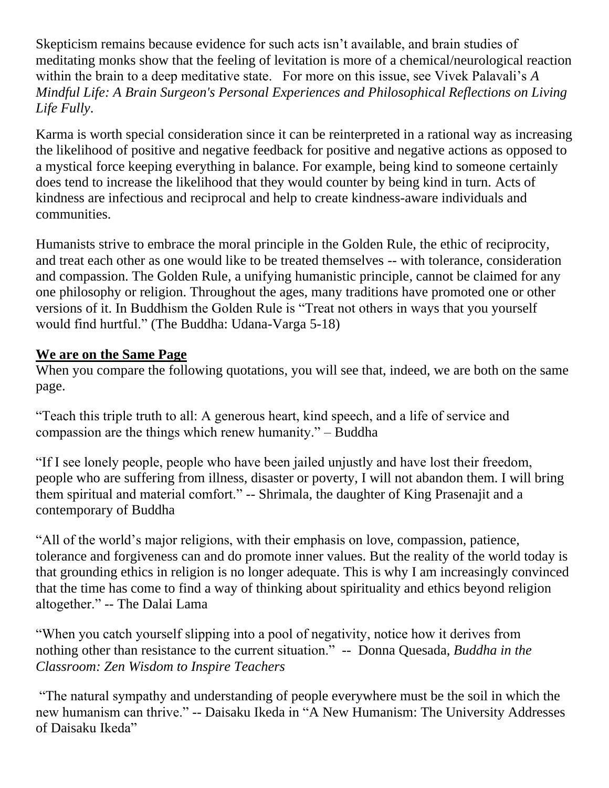Skepticism remains because evidence for such acts isn't available, and brain studies of meditating monks show that the feeling of levitation is more of a chemical/neurological reaction within the brain to a deep meditative state. For more on this issue, see Vivek Palavali's *A Mindful Life: A Brain Surgeon's Personal Experiences and Philosophical Reflections on Living Life Fully*.

Karma is worth special consideration since it can be reinterpreted in a rational way as increasing the likelihood of positive and negative feedback for positive and negative actions as opposed to a mystical force keeping everything in balance. For example, being kind to someone certainly does tend to increase the likelihood that they would counter by being kind in turn. Acts of kindness are infectious and reciprocal and help to create kindness-aware individuals and communities.

Humanists strive to embrace the moral principle in the Golden Rule, the ethic of reciprocity, and treat each other as one would like to be treated themselves -- with tolerance, consideration and compassion. The Golden Rule, a unifying humanistic principle, cannot be claimed for any one philosophy or religion. Throughout the ages, many traditions have promoted one or other versions of it. In Buddhism the Golden Rule is "Treat not others in ways that you yourself would find hurtful." (The Buddha: Udana-Varga 5-18)

### **We are on the Same Page**

When you compare the following quotations, you will see that, indeed, we are both on the same page.

―Teach this triple truth to all: A generous heart, kind speech, and a life of service and compassion are the things which renew humanity. $\degree$  – Buddha

―If I see lonely people, people who have been jailed unjustly and have lost their freedom, people who are suffering from illness, disaster or poverty, I will not abandon them. I will bring them spiritual and material comfort." -- Shrimala, the daughter of King Prasenajit and a contemporary of Buddha

―All of the world's major religions, with their emphasis on love, compassion, patience, tolerance and forgiveness can and do promote inner values. But the reality of the world today is that grounding ethics in religion is no longer adequate. This is why I am increasingly convinced that the time has come to find a way of thinking about spirituality and ethics beyond religion altogether." -- The Dalai Lama

―When you catch yourself slipping into a pool of negativity, notice how it derives from nothing other than resistance to the current situation." -- [Donna Quesada,](http://www.goodreads.com/author/show/4805989.Donna_Quesada) *Buddha in the [Classroom: Zen Wisdom to Inspire Teachers](http://www.goodreads.com/work/quotes/16103907)*

―The natural sympathy and understanding of people everywhere must be the soil in which the new humanism can thrive." -- [Daisaku Ikeda](http://www.amazon.com/Daisaku-Ikeda/e/B001HCU9PG/ref=dp_byline_cont_book_1) in "A New Humanism: The University Addresses of Daisaku Ikeda"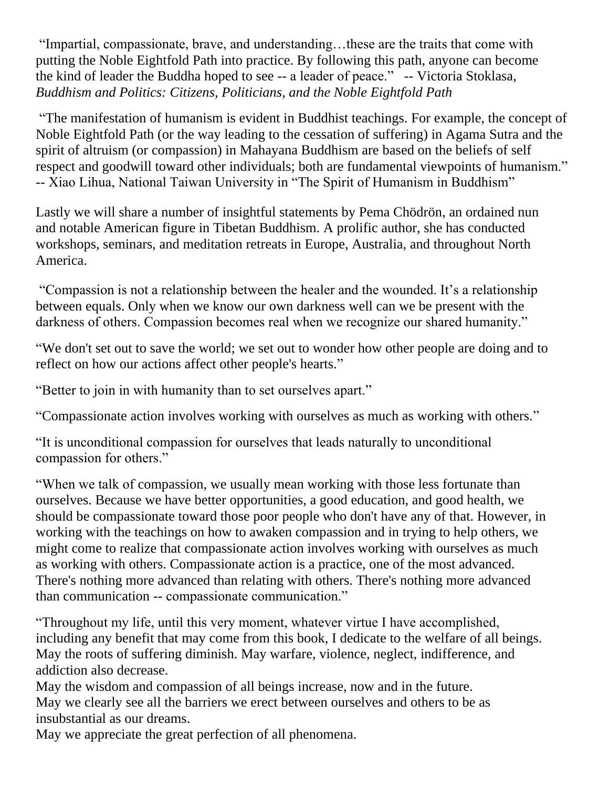―Impartial, compassionate, brave, and understanding…these are the traits that come with putting the Noble Eightfold Path into practice. By following this path, anyone can become the kind of leader the Buddha hoped to see -- a leader of peace." -- [Victoria Stoklasa,](http://www.goodreads.com/author/show/7112636.Victoria_Stoklasa) *[Buddhism and Politics: Citizens, Politicians, and the Noble Eightfold Path](http://www.goodreads.com/work/quotes/26427720)*

―The manifestation of humanism is evident in Buddhist teachings. For example, the concept of Noble Eightfold Path (or the way leading to the cessation of suffering) in Agama Sutra and the spirit of altruism (or compassion) in Mahayana Buddhism are based on the beliefs of self respect and goodwill toward other individuals; both are fundamental viewpoints of humanism." -- Xiao Lihua, National Taiwan University in "The Spirit of Humanism in Buddhism"

Lastly we will share a number of insightful statements by Pema Chödrön, an ordained nun and notable [American](http://en.wikipedia.org/wiki/Americans) figure in [Tibetan Buddhism.](http://en.wikipedia.org/wiki/Tibetan_Buddhism) A prolific author, she has conducted workshops, seminars, and meditation retreats in [Europe,](http://en.wikipedia.org/wiki/Europe) [Australia,](http://en.wikipedia.org/wiki/Australia) and throughout [North](http://en.wikipedia.org/wiki/North_America)  [America.](http://en.wikipedia.org/wiki/North_America)

―Compassion is not a relationship between the healer and the wounded. It's a relationship between equals. Only when we know our own darkness well can we be present with the darkness of others. Compassion becomes real when we recognize our shared humanity."

We don't set out to save the world; we set out to wonder how other people are doing and to reflect on how our actions affect other people's hearts."

"Better to join in with humanity than to set ourselves apart."

"Compassionate action involves working with ourselves as much as working with others."

―It is unconditional compassion for ourselves that leads naturally to unconditional compassion for others."

When we talk of compassion, we usually mean working with those less fortunate than ourselves. Because we have better opportunities, a good education, and good health, we should be compassionate toward those poor people who don't have any of that. However, in working with the teachings on how to awaken compassion and in trying to help others, we might come to realize that compassionate action involves working with ourselves as much as working with others. Compassionate action is a practice, one of the most advanced. There's nothing more advanced than relating with others. There's nothing more advanced than communication -- compassionate communication."

―Throughout my life, until this very moment, whatever virtue I have accomplished, including any benefit that may come from this book, I dedicate to the welfare of all beings. May the roots of suffering diminish. May warfare, violence, neglect, indifference, and addiction also decrease.

May the wisdom and compassion of all beings increase, now and in the future. May we clearly see all the barriers we erect between ourselves and others to be as insubstantial as our dreams.

May we appreciate the great perfection of all phenomena.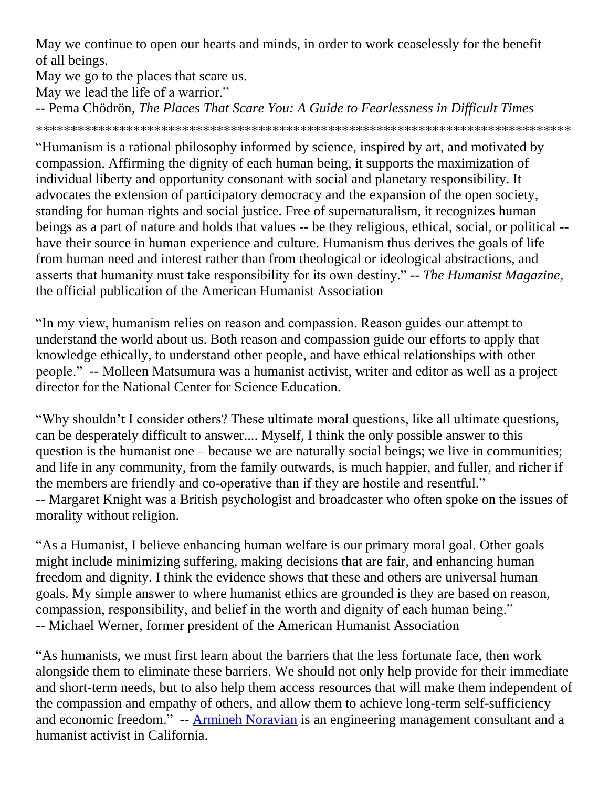May we continue to open our hearts and minds, in order to work ceaselessly for the benefit of all beings.

May we go to the places that scare us.

May we lead the life of a warrior."

-- [Pema Chödrön,](http://www.goodreads.com/author/show/8052.Pema_Ch_dr_n) *[The Places That Scare You: A Guide to Fearlessness in Difficult Times](http://www.goodreads.com/work/quotes/183281)*

\*\*\*\*\*\*\*\*\*\*\*\*\*\*\*\*\*\*\*\*\*\*\*\*\*\*\*\*\*\*\*\*\*\*\*\*\*\*\*\*\*\*\*\*\*\*\*\*\*\*\*\*\*\*\*\*\*\*\*\*\*\*\*\*\*\*\*\*\*\*\*\*\*\*\*\*\*

―Humanism is a rational philosophy informed by science, inspired by art, and motivated by compassion. Affirming the dignity of each human being, it supports the maximization of individual liberty and opportunity consonant with social and planetary responsibility. It advocates the extension of participatory democracy and the expansion of the open society, standing for human rights and social justice. Free of supernaturalism, it recognizes human beings as a part of nature and holds that values -- be they religious, ethical, social, or political - have their source in human experience and culture. Humanism thus derives the goals of life from human need and interest rather than from theological or ideological abstractions, and asserts that humanity must take responsibility for its own destiny." -- *The Humanist Magazine*, the official publication of the American Humanist Association

―In my view, humanism relies on reason and compassion. Reason guides our attempt to understand the world about us. Both reason and compassion guide our efforts to apply that knowledge ethically, to understand other people, and have ethical relationships with other people.‖ -- Molleen Matsumura was a humanist activist, writer and editor as well as a project director for the National Center for Science Education.

―Why shouldn't I consider others? These ultimate moral questions, like all ultimate questions, can be desperately difficult to answer.... Myself, I think the only possible answer to this question is the humanist one – because we are naturally social beings; we live in communities; and life in any community, from the family outwards, is much happier, and fuller, and richer if the members are friendly and co-operative than if they are hostile and resentful." -- Margaret Knight was a British psychologist and broadcaster who often spoke on the issues of morality without religion.

"As a Humanist, I believe enhancing human welfare is our primary moral goal. Other goals might include minimizing suffering, making decisions that are fair, and enhancing human freedom and dignity. I think the evidence shows that these and others are universal human goals. My simple answer to where humanist ethics are grounded is they are based on reason, compassion, responsibility, and belief in the worth and dignity of each human being." *--* Michael Werner, former president of the American Humanist Association

―As humanists, we must first learn about the barriers that the less fortunate face, then work alongside them to eliminate these barriers. We should not only help provide for their immediate and short-term needs, but to also help them access resources that will make them independent of the compassion and empathy of others, and allow them to achieve long-term self-sufficiency and economic freedom." -- [Armineh Noravian](http://thehumanist.com/contributors/armineh-noravian) is an engineering management consultant and a humanist activist in California.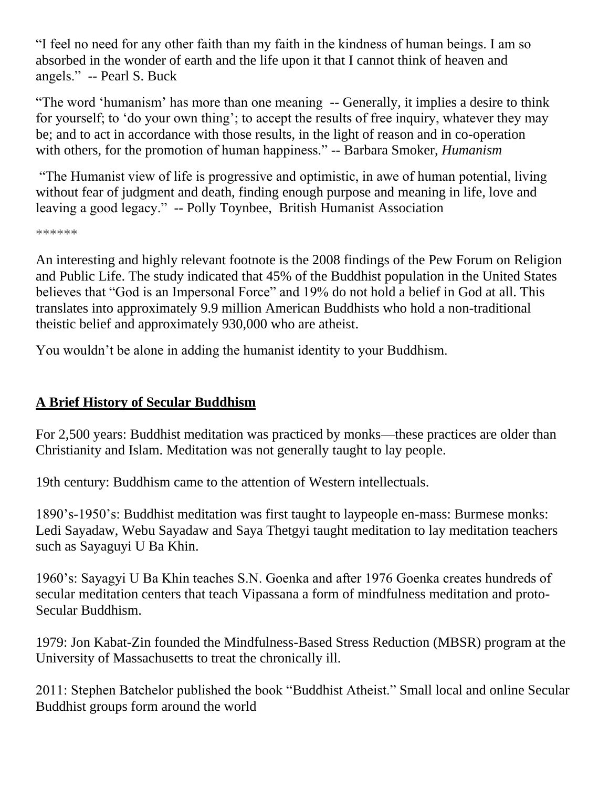―I feel no need for any other faith than my faith in the kindness of human beings. I am so absorbed in the wonder of earth and the life upon it that I cannot think of heaven and angels." -- Pearl S. Buck

"The word 'humanism' has more than one meaning -- Generally, it implies a desire to think for yourself; to 'do your own thing'; to accept the results of free inquiry, whatever they may be; and to act in accordance with those results, in the light of reason and in co-operation with others, for the promotion of human happiness." -- Barbara Smoker, *[Humanism](http://www.humanism.org.uk/site/shop/shopproduct.asp?id=159&parent=514&root=514&cat=514&level=1&pageNo=%E2%88%8F=524&from=prodlist)* 

―The Humanist view of life is progressive and optimistic, in awe of human potential, living without fear of judgment and death, finding enough purpose and meaning in life, love and leaving a good legacy." -- Polly Toynbee, British Humanist Association

\*\*\*\*\*\*

An interesting and highly relevant footnote is the 2008 findings of the Pew Forum on Religion and Public Life. The study indicated that 45% of the Buddhist population in the United States believes that "God is an Impersonal Force" and 19% do not hold a belief in God at all. This translates into approximately 9.9 million American Buddhists who hold a non-traditional theistic belief and approximately 930,000 who are atheist.

You wouldn't be alone in adding the humanist identity to your Buddhism.

# **A Brief History of Secular Buddhism**

For 2,500 years: Buddhist meditation was practiced by monks—these practices are older than Christianity and Islam. Meditation was not generally taught to lay people.

19th century: Buddhism came to the attention of Western intellectuals.

1890's-1950's: Buddhist meditation was first taught to laypeople en-mass: Burmese monks: Ledi Sayadaw, Webu Sayadaw and Saya Thetgyi taught meditation to lay meditation teachers such as Sayaguyi U Ba Khin.

1960's: Sayagyi U Ba Khin teaches S.N. Goenka and after 1976 Goenka creates hundreds of secular meditation centers that teach Vipassana a form of mindfulness meditation and proto-Secular Buddhism.

1979: Jon Kabat-Zin founded the Mindfulness-Based Stress Reduction (MBSR) program at the University of Massachusetts to treat the chronically ill.

2011: Stephen Batchelor published the book "Buddhist Atheist." Small local and online Secular Buddhist groups form around the world